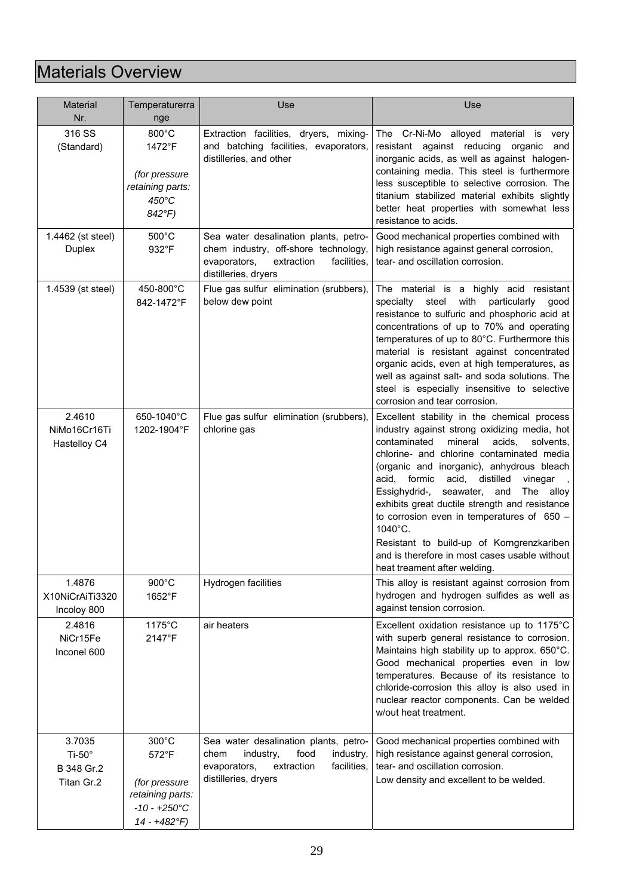## Materials Overview

| <b>Material</b><br>Nr.                                 | Temperaturerra<br>nge                                                                       | Use                                                                                                                                                  | Use                                                                                                                                                                                                                                                                                                                                                                                                                                                                                                                                                                                |  |
|--------------------------------------------------------|---------------------------------------------------------------------------------------------|------------------------------------------------------------------------------------------------------------------------------------------------------|------------------------------------------------------------------------------------------------------------------------------------------------------------------------------------------------------------------------------------------------------------------------------------------------------------------------------------------------------------------------------------------------------------------------------------------------------------------------------------------------------------------------------------------------------------------------------------|--|
| 316 SS<br>(Standard)                                   | $800^{\circ}$ C<br>1472°F<br>(for pressure<br>retaining parts:<br>$450^{\circ}$ C<br>842°F) | Extraction facilities, dryers, mixing-<br>and batching facilities, evaporators,<br>distilleries, and other                                           | The Cr-Ni-Mo alloyed material is very<br>resistant against reducing<br>organic<br>and<br>inorganic acids, as well as against halogen-<br>containing media. This steel is furthermore<br>less susceptible to selective corrosion. The<br>titanium stabilized material exhibits slightly<br>better heat properties with somewhat less<br>resistance to acids.                                                                                                                                                                                                                        |  |
| 1.4462 (st steel)<br><b>Duplex</b>                     | 500°C<br>932°F                                                                              | Sea water desalination plants, petro-<br>chem industry, off-shore technology,<br>evaporators,<br>extraction<br>facilities.<br>distilleries, dryers   | Good mechanical properties combined with<br>high resistance against general corrosion,<br>tear- and oscillation corrosion.                                                                                                                                                                                                                                                                                                                                                                                                                                                         |  |
| 1.4539 (st steel)                                      | 450-800°C<br>842-1472°F                                                                     | Flue gas sulfur elimination (srubbers),<br>below dew point                                                                                           | The material is a highly acid resistant<br>steel<br>with<br>particularly<br>specialty<br>good<br>resistance to sulfuric and phosphoric acid at<br>concentrations of up to 70% and operating<br>temperatures of up to 80°C. Furthermore this<br>material is resistant against concentrated<br>organic acids, even at high temperatures, as<br>well as against salt- and soda solutions. The<br>steel is especially insensitive to selective<br>corrosion and tear corrosion.                                                                                                        |  |
| 2.4610<br>NiMo16Cr16Ti<br>Hastelloy C4                 | 650-1040°C<br>1202-1904°F                                                                   | Flue gas sulfur elimination (srubbers),<br>chlorine gas                                                                                              | Excellent stability in the chemical process<br>industry against strong oxidizing media, hot<br>contaminated<br>mineral<br>acids,<br>solvents,<br>chlorine- and chlorine contaminated media<br>(organic and inorganic), anhydrous bleach<br>acid, formic<br>acid,<br>distilled<br>vinegar<br>seawater, and<br>Essighydrid-,<br>The alloy<br>exhibits great ductile strength and resistance<br>to corrosion even in temperatures of $650 -$<br>1040°C.<br>Resistant to build-up of Korngrenzkariben<br>and is therefore in most cases usable without<br>heat treament after welding. |  |
| 1.4876<br>X10NiCrAiTi3320<br>Incoloy 800               | 900°C<br>1652°F                                                                             | Hydrogen facilities                                                                                                                                  | This alloy is resistant against corrosion from<br>hydrogen and hydrogen sulfides as well as<br>against tension corrosion.                                                                                                                                                                                                                                                                                                                                                                                                                                                          |  |
| 2.4816<br>NiCr15Fe<br>Inconel 600                      | 1175°C<br>2147°F                                                                            | air heaters                                                                                                                                          | Excellent oxidation resistance up to 1175°C<br>with superb general resistance to corrosion.<br>Maintains high stability up to approx. 650°C.<br>Good mechanical properties even in low<br>temperatures. Because of its resistance to<br>chloride-corrosion this alloy is also used in<br>nuclear reactor components. Can be welded<br>w/out heat treatment.                                                                                                                                                                                                                        |  |
| 3.7035<br>Ti-50 $^{\circ}$<br>B 348 Gr.2<br>Titan Gr.2 | 300°C<br>572°F<br>(for pressure<br>retaining parts:<br>$-10 - +250$ °C<br>14 - +482°F)      | Sea water desalination plants, petro-<br>food<br>industry,<br>industry,<br>chem<br>extraction<br>facilities,<br>evaporators,<br>distilleries, dryers | Good mechanical properties combined with<br>high resistance against general corrosion,<br>tear- and oscillation corrosion.<br>Low density and excellent to be welded.                                                                                                                                                                                                                                                                                                                                                                                                              |  |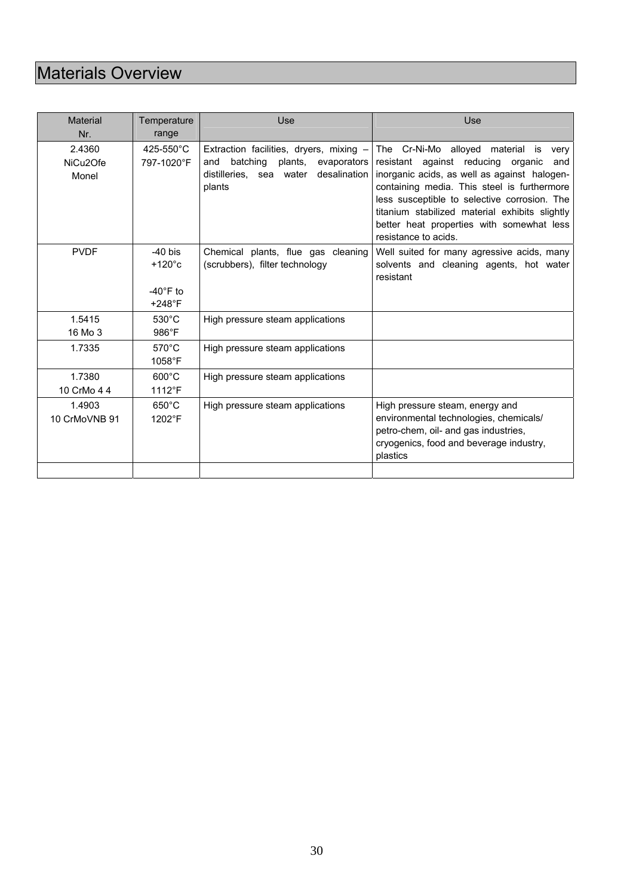## Materials Overview

| <b>Material</b><br>Nr.                   | Temperature<br>range                                                  | Use                                                                                                                                          | Use                                                                                                                                                                                                                                                                                                                                                               |
|------------------------------------------|-----------------------------------------------------------------------|----------------------------------------------------------------------------------------------------------------------------------------------|-------------------------------------------------------------------------------------------------------------------------------------------------------------------------------------------------------------------------------------------------------------------------------------------------------------------------------------------------------------------|
| 2.4360<br>NiCu <sub>2</sub> Ofe<br>Monel | 425-550°C<br>797-1020°F                                               | Extraction facilities, dryers, mixing -<br>plants,<br>batching<br>evaporators<br>and<br>distilleries, sea<br>desalination<br>water<br>plants | The Cr-Ni-Mo alloyed<br>material<br>is<br>very<br>resistant against reducing organic<br>and<br>inorganic acids, as well as against halogen-<br>containing media. This steel is furthermore<br>less susceptible to selective corrosion. The<br>titanium stabilized material exhibits slightly<br>better heat properties with somewhat less<br>resistance to acids. |
| <b>PVDF</b>                              | $-40$ bis<br>$+120^{\circ}c$<br>$-40^{\circ}$ F to<br>$+248^{\circ}F$ | Chemical plants, flue gas cleaning<br>(scrubbers), filter technology                                                                         | Well suited for many agressive acids, many<br>solvents and cleaning agents, hot water<br>resistant                                                                                                                                                                                                                                                                |
| 1.5415<br>16 Mo 3                        | $530^{\circ}$ C<br>$986^\circ F$                                      | High pressure steam applications                                                                                                             |                                                                                                                                                                                                                                                                                                                                                                   |
| 1.7335                                   | $570^{\circ}$ C<br>$1058$ °F                                          | High pressure steam applications                                                                                                             |                                                                                                                                                                                                                                                                                                                                                                   |
| 1.7380<br>10 CrMo 4 4                    | $600^{\circ}$ C<br>1112°F                                             | High pressure steam applications                                                                                                             |                                                                                                                                                                                                                                                                                                                                                                   |
| 1.4903<br>10 CrMoVNB 91                  | $650^{\circ}$ C<br>1202°F                                             | High pressure steam applications                                                                                                             | High pressure steam, energy and<br>environmental technologies, chemicals/<br>petro-chem, oil- and gas industries,<br>cryogenics, food and beverage industry,<br>plastics                                                                                                                                                                                          |